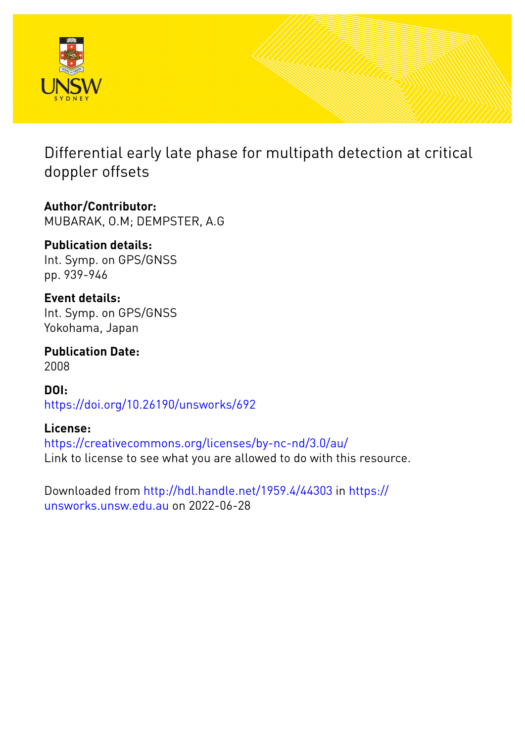

Differential early late phase for multipath detection at critical doppler offsets

**Author/Contributor:** MUBARAK, O.M; DEMPSTER, A.G

**Publication details:** Int. Symp. on GPS/GNSS pp. 939-946

**Event details:** Int. Symp. on GPS/GNSS Yokohama, Japan

**Publication Date:** 2008

**DOI:** [https://doi.org/10.26190/unsworks/692](http://dx.doi.org/https://doi.org/10.26190/unsworks/692)

**License:** <https://creativecommons.org/licenses/by-nc-nd/3.0/au/> Link to license to see what you are allowed to do with this resource.

Downloaded from <http://hdl.handle.net/1959.4/44303> in [https://](https://unsworks.unsw.edu.au) [unsworks.unsw.edu.au](https://unsworks.unsw.edu.au) on 2022-06-28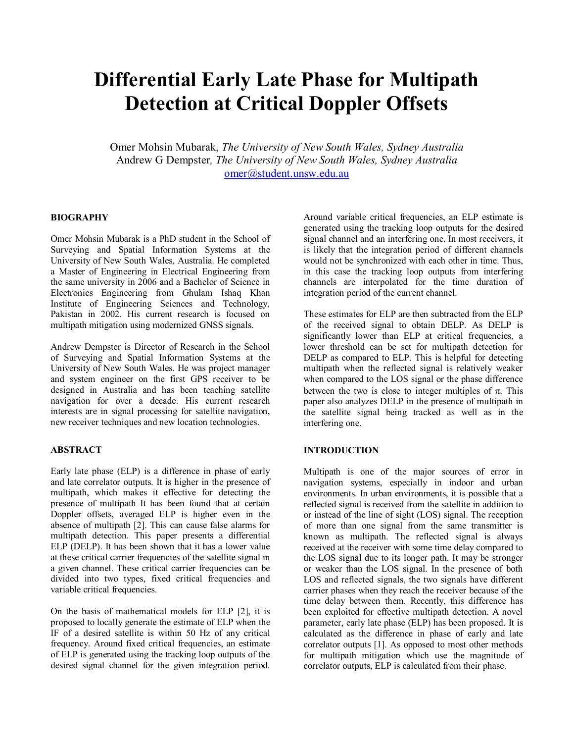# Differential Early Late Phase for Multipath Detection at Critical Doppler Offsets

Omer Mohsin Mubarak, The University of New South Wales, Sydney Australia Andrew G Dempster, The University of New South Wales, Sydney Australia omer@student.unsw.edu.au

# BIOGRAPHY

Omer Mohsin Mubarak is a PhD student in the School of Surveying and Spatial Information Systems at the University of New South Wales, Australia. He completed a Master of Engineering in Electrical Engineering from the same university in 2006 and a Bachelor of Science in Electronics Engineering from Ghulam Ishaq Khan Institute of Engineering Sciences and Technology, Pakistan in 2002. His current research is focused on multipath mitigation using modernized GNSS signals.

Andrew Dempster is Director of Research in the School of Surveying and Spatial Information Systems at the University of New South Wales. He was project manager and system engineer on the first GPS receiver to be designed in Australia and has been teaching satellite navigation for over a decade. His current research interests are in signal processing for satellite navigation, new receiver techniques and new location technologies.

# **ABSTRACT**

Early late phase (ELP) is a difference in phase of early and late correlator outputs. It is higher in the presence of multipath, which makes it effective for detecting the presence of multipath It has been found that at certain Doppler offsets, averaged ELP is higher even in the absence of multipath [2]. This can cause false alarms for multipath detection. This paper presents a differential ELP (DELP). It has been shown that it has a lower value at these critical carrier frequencies of the satellite signal in a given channel. These critical carrier frequencies can be divided into two types, fixed critical frequencies and variable critical frequencies.

On the basis of mathematical models for ELP [2], it is proposed to locally generate the estimate of ELP when the IF of a desired satellite is within 50 Hz of any critical frequency. Around fixed critical frequencies, an estimate of ELP is generated using the tracking loop outputs of the desired signal channel for the given integration period.

Around variable critical frequencies, an ELP estimate is generated using the tracking loop outputs for the desired signal channel and an interfering one. In most receivers, it is likely that the integration period of different channels would not be synchronized with each other in time. Thus, in this case the tracking loop outputs from interfering channels are interpolated for the time duration of integration period of the current channel.

These estimates for ELP are then subtracted from the ELP of the received signal to obtain DELP. As DELP is significantly lower than ELP at critical frequencies, a lower threshold can be set for multipath detection for DELP as compared to ELP. This is helpful for detecting multipath when the reflected signal is relatively weaker when compared to the LOS signal or the phase difference between the two is close to integer multiples of  $\pi$ . This paper also analyzes DELP in the presence of multipath in the satellite signal being tracked as well as in the interfering one.

# **INTRODUCTION**

Multipath is one of the major sources of error in navigation systems, especially in indoor and urban environments. In urban environments, it is possible that a reflected signal is received from the satellite in addition to or instead of the line of sight (LOS) signal. The reception of more than one signal from the same transmitter is known as multipath. The reflected signal is always received at the receiver with some time delay compared to the LOS signal due to its longer path. It may be stronger or weaker than the LOS signal. In the presence of both LOS and reflected signals, the two signals have different carrier phases when they reach the receiver because of the time delay between them. Recently, this difference has been exploited for effective multipath detection. A novel parameter, early late phase (ELP) has been proposed. It is calculated as the difference in phase of early and late correlator outputs [1]. As opposed to most other methods for multipath mitigation which use the magnitude of correlator outputs, ELP is calculated from their phase.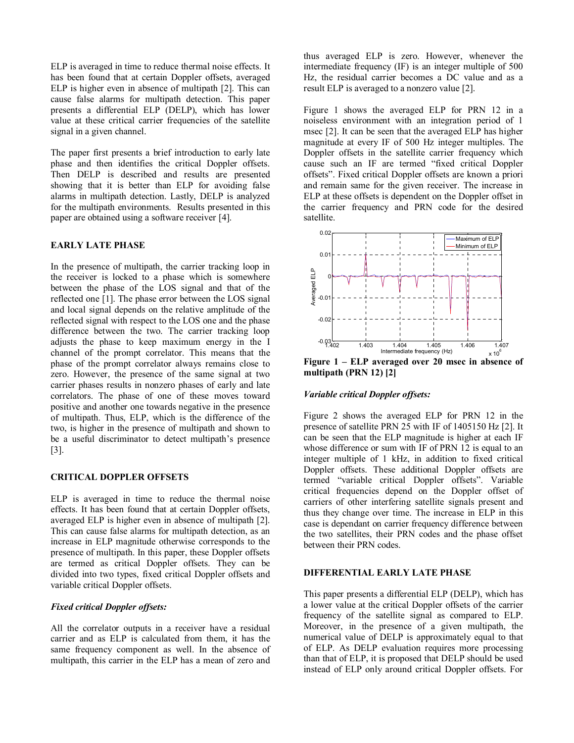ELP is averaged in time to reduce thermal noise effects. It has been found that at certain Doppler offsets, averaged ELP is higher even in absence of multipath [2]. This can cause false alarms for multipath detection. This paper presents a differential ELP (DELP), which has lower value at these critical carrier frequencies of the satellite signal in a given channel.

The paper first presents a brief introduction to early late phase and then identifies the critical Doppler offsets. Then DELP is described and results are presented showing that it is better than ELP for avoiding false alarms in multipath detection. Lastly, DELP is analyzed for the multipath environments. Results presented in this paper are obtained using a software receiver [4].

## EARLY LATE PHASE

In the presence of multipath, the carrier tracking loop in the receiver is locked to a phase which is somewhere between the phase of the LOS signal and that of the reflected one [1]. The phase error between the LOS signal and local signal depends on the relative amplitude of the reflected signal with respect to the LOS one and the phase difference between the two. The carrier tracking loop adjusts the phase to keep maximum energy in the I channel of the prompt correlator. This means that the phase of the prompt correlator always remains close to zero. However, the presence of the same signal at two carrier phases results in nonzero phases of early and late correlators. The phase of one of these moves toward positive and another one towards negative in the presence of multipath. Thus, ELP, which is the difference of the two, is higher in the presence of multipath and shown to be a useful discriminator to detect multipath's presence [3].

# CRITICAL DOPPLER OFFSETS

ELP is averaged in time to reduce the thermal noise effects. It has been found that at certain Doppler offsets, averaged ELP is higher even in absence of multipath [2]. This can cause false alarms for multipath detection, as an increase in ELP magnitude otherwise corresponds to the presence of multipath. In this paper, these Doppler offsets are termed as critical Doppler offsets. They can be divided into two types, fixed critical Doppler offsets and variable critical Doppler offsets.

## Fixed critical Doppler offsets:

All the correlator outputs in a receiver have a residual carrier and as ELP is calculated from them, it has the same frequency component as well. In the absence of multipath, this carrier in the ELP has a mean of zero and

thus averaged ELP is zero. However, whenever the intermediate frequency (IF) is an integer multiple of 500 Hz, the residual carrier becomes a DC value and as a result ELP is averaged to a nonzero value [2].

Figure 1 shows the averaged ELP for PRN 12 in a noiseless environment with an integration period of 1 msec [2]. It can be seen that the averaged ELP has higher magnitude at every IF of 500 Hz integer multiples. The Doppler offsets in the satellite carrier frequency which cause such an IF are termed "fixed critical Doppler offsets". Fixed critical Doppler offsets are known a priori and remain same for the given receiver. The increase in ELP at these offsets is dependent on the Doppler offset in the carrier frequency and PRN code for the desired satellite.



Figure 1 – ELP averaged over 20 msec in absence of multipath (PRN 12) [2]

#### Variable critical Doppler offsets:

Figure 2 shows the averaged ELP for PRN 12 in the presence of satellite PRN 25 with IF of 1405150 Hz [2]. It can be seen that the ELP magnitude is higher at each IF whose difference or sum with IF of PRN 12 is equal to an integer multiple of 1 kHz, in addition to fixed critical Doppler offsets. These additional Doppler offsets are termed "variable critical Doppler offsets". Variable critical frequencies depend on the Doppler offset of carriers of other interfering satellite signals present and thus they change over time. The increase in ELP in this case is dependant on carrier frequency difference between the two satellites, their PRN codes and the phase offset between their PRN codes.

# DIFFERENTIAL EARLY LATE PHASE

This paper presents a differential ELP (DELP), which has a lower value at the critical Doppler offsets of the carrier frequency of the satellite signal as compared to ELP. Moreover, in the presence of a given multipath, the numerical value of DELP is approximately equal to that of ELP. As DELP evaluation requires more processing than that of ELP, it is proposed that DELP should be used instead of ELP only around critical Doppler offsets. For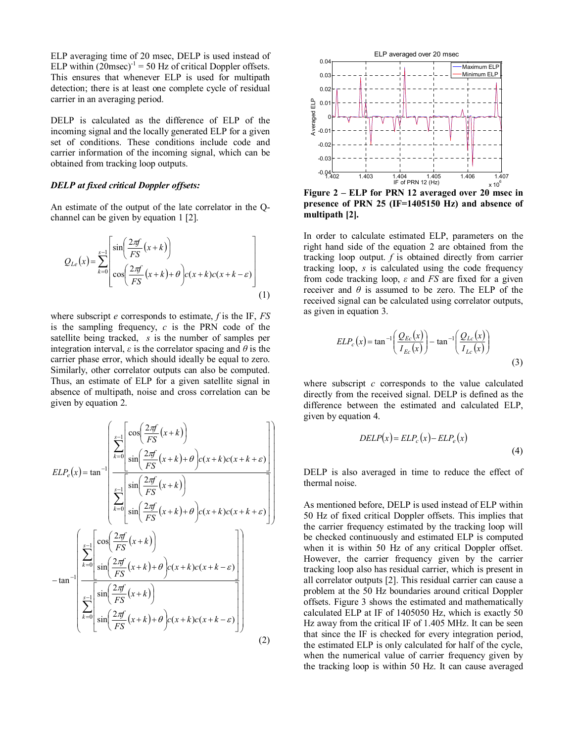ELP averaging time of 20 msec, DELP is used instead of ELP within  $(20$ msec)<sup>-1</sup> = 50 Hz of critical Doppler offsets. This ensures that whenever ELP is used for multipath detection; there is at least one complete cycle of residual carrier in an averaging period.

DELP is calculated as the difference of ELP of the incoming signal and the locally generated ELP for a given set of conditions. These conditions include code and carrier information of the incoming signal, which can be obtained from tracking loop outputs.

#### DELP at fixed critical Doppler offsets:

An estimate of the output of the late correlator in the Qchannel can be given by equation 1 [2].

$$
Q_{Le}(x) = \sum_{k=0}^{s-1} \left[ \sin\left(\frac{2\pi f}{FS}(x+k)\right) - \cos\left(\frac{2\pi f}{FS}(x+k) + \theta\right) c(x+k)c(x+k-\varepsilon) \right] \tag{1}
$$

where subscript  $e$  corresponds to estimate,  $f$  is the IF,  $FS$ is the sampling frequency,  $c$  is the PRN code of the satellite being tracked, s is the number of samples per integration interval,  $\varepsilon$  is the correlator spacing and  $\theta$  is the carrier phase error, which should ideally be equal to zero. Similarly, other correlator outputs can also be computed. Thus, an estimate of ELP for a given satellite signal in absence of multipath, noise and cross correlation can be given by equation 2.

$$
ELP_e(x) = \tan^{-1} \left( \frac{\sum_{k=0}^{s-1} \left[ \cos\left(\frac{2\pi f}{FS}(x+k)\right) - \tan^{-1} \left( \frac{\sum_{k=0}^{s-1} \left[ \cos\left(\frac{2\pi f}{FS}(x+k) + \theta \right] c(x+k)c(x+k+\varepsilon) \right] - \sin\left(\frac{\sum_{k=0}^{s-1} \left[ \sin\left(\frac{2\pi f}{FS}(x+k)\right) - \cos\left(\frac{2\pi f}{FS}(x+k)\right] \right] - \tan^{-1} \left( \frac{\sum_{k=0}^{s-1} \left[ \cos\left(\frac{2\pi f}{FS}(x+k)\right) - \cos\left(\frac{2\pi f}{FS}(x+k)\right] - \cos\left(\frac{2\pi f}{FS}(x+k)\right) \right] - \sin\left(\frac{\sum_{k=0}^{s-1} \left[ \sin\left(\frac{2\pi f}{FS}(x+k)\right) - \cos\left(\frac{2\pi f}{FS}(x+k)\right] - \cos\left(\frac{2\pi f}{FS}(x+k)\right) \right] \right)}{ \sin\left(\frac{2\pi f}{FS}(x+k) + \theta \right) c(x+k)c(x+k-\varepsilon)} \right)
$$
\n(2)



Figure 2 – ELP for PRN 12 averaged over 20 msec in presence of PRN 25 (IF=1405150 Hz) and absence of multipath [2].

In order to calculate estimated ELP, parameters on the right hand side of the equation 2 are obtained from the tracking loop output.  $f$  is obtained directly from carrier tracking loop, s is calculated using the code frequency from code tracking loop,  $\varepsilon$  and FS are fixed for a given receiver and  $\theta$  is assumed to be zero. The ELP of the received signal can be calculated using correlator outputs, as given in equation 3.

$$
ELP_c(x) = \tan^{-1}\left(\frac{Q_{Ec}(x)}{I_{Ec}(x)}\right) - \tan^{-1}\left(\frac{Q_{Le}(x)}{I_{Le}(x)}\right)
$$
\n(3)

where subscript  $c$  corresponds to the value calculated directly from the received signal. DELP is defined as the difference between the estimated and calculated ELP, given by equation 4.

$$
DELP(x) = ELP_c(x) - ELP_e(x)
$$
\n(4)

DELP is also averaged in time to reduce the effect of thermal noise.

As mentioned before, DELP is used instead of ELP within 50 Hz of fixed critical Doppler offsets. This implies that the carrier frequency estimated by the tracking loop will be checked continuously and estimated ELP is computed when it is within 50 Hz of any critical Doppler offset. However, the carrier frequency given by the carrier tracking loop also has residual carrier, which is present in all correlator outputs [2]. This residual carrier can cause a problem at the 50 Hz boundaries around critical Doppler offsets. Figure 3 shows the estimated and mathematically calculated ELP at IF of 1405050 Hz, which is exactly 50 Hz away from the critical IF of 1.405 MHz. It can be seen that since the IF is checked for every integration period, the estimated ELP is only calculated for half of the cycle, when the numerical value of carrier frequency given by the tracking loop is within 50 Hz. It can cause averaged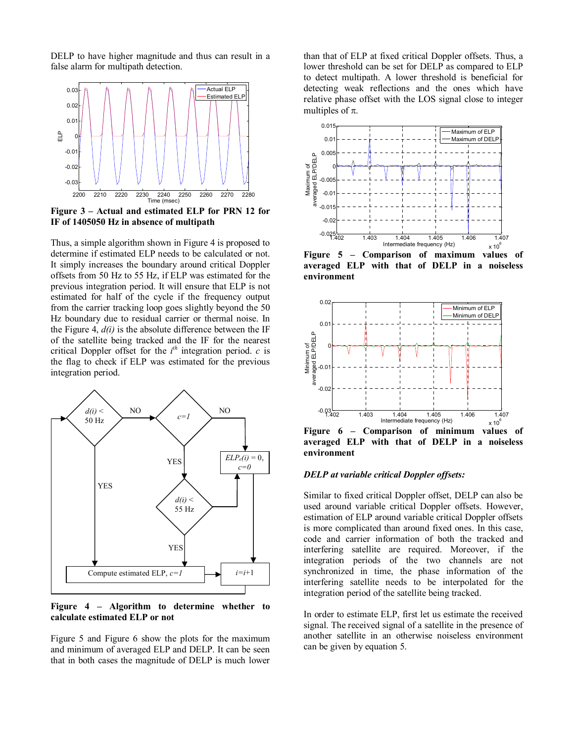DELP to have higher magnitude and thus can result in a false alarm for multipath detection.



Figure 3 – Actual and estimated ELP for PRN 12 for IF of 1405050 Hz in absence of multipath

Thus, a simple algorithm shown in Figure 4 is proposed to determine if estimated ELP needs to be calculated or not. It simply increases the boundary around critical Doppler offsets from 50 Hz to 55 Hz, if ELP was estimated for the previous integration period. It will ensure that ELP is not estimated for half of the cycle if the frequency output from the carrier tracking loop goes slightly beyond the 50 Hz boundary due to residual carrier or thermal noise. In the Figure 4,  $d(i)$  is the absolute difference between the IF of the satellite being tracked and the IF for the nearest critical Doppler offset for the  $i<sup>th</sup>$  integration period.  $c$  is the flag to check if ELP was estimated for the previous integration period.



Figure 4 – Algorithm to determine whether to calculate estimated ELP or not

Figure 5 and Figure 6 show the plots for the maximum and minimum of averaged ELP and DELP. It can be seen that in both cases the magnitude of DELP is much lower than that of ELP at fixed critical Doppler offsets. Thus, a lower threshold can be set for DELP as compared to ELP to detect multipath. A lower threshold is beneficial for detecting weak reflections and the ones which have relative phase offset with the LOS signal close to integer multiples of  $\pi$ .



Figure 5 – Comparison of maximum values of averaged ELP with that of DELP in a noiseless environment



Figure 6 – Comparison of minimum values of averaged ELP with that of DELP in a noiseless environment

# DELP at variable critical Doppler offsets:

Similar to fixed critical Doppler offset, DELP can also be used around variable critical Doppler offsets. However, estimation of ELP around variable critical Doppler offsets is more complicated than around fixed ones. In this case, code and carrier information of both the tracked and interfering satellite are required. Moreover, if the integration periods of the two channels are not synchronized in time, the phase information of the interfering satellite needs to be interpolated for the integration period of the satellite being tracked.

In order to estimate ELP, first let us estimate the received signal. The received signal of a satellite in the presence of another satellite in an otherwise noiseless environment can be given by equation 5.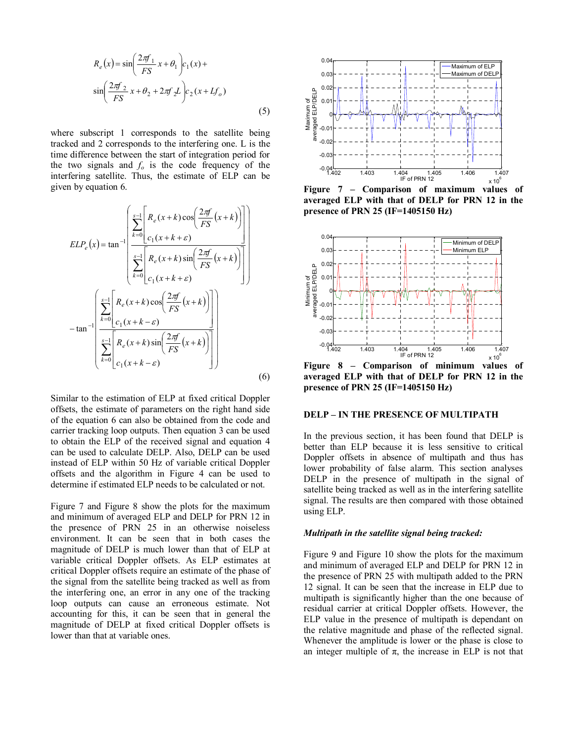$$
R_e(x) = \sin\left(\frac{2\pi f_1}{FS}x + \theta_1\right)c_1(x) + \sin\left(\frac{2\pi f_2}{FS}x + \theta_2 + 2\pi f_2L\right)c_2(x + Lf_o)
$$
\n(5)

where subscript 1 corresponds to the satellite being tracked and 2 corresponds to the interfering one. L is the time difference between the start of integration period for the two signals and  $f_0$  is the code frequency of the interfering satellite. Thus, the estimate of ELP can be given by equation 6.

$$
ELP_e(x) = \tan^{-1}\left(\frac{\sum_{k=0}^{s-1} \left[R_e(x+k)\cos\left(\frac{2\pi f}{FS}(x+k)\right)\right]}{\sum_{k=0}^{s-1} \left[R_e(x+k)\sin\left(\frac{2\pi f}{FS}(x+k)\right)\right]}\right)
$$

$$
-\tan^{-1}\left(\frac{\sum_{k=0}^{s-1} \left[R_e(x+k)\cos\left(\frac{2\pi f}{FS}(x+k)\right)\right]}{c_1(x+k-\varepsilon)}\right)
$$

$$
-\tan^{-1}\left(\frac{\sum_{k=0}^{s-1} \left[R_e(x+k)\cos\left(\frac{2\pi f}{FS}(x+k)\right)\right]}{c_1(x+k-\varepsilon)}\right)
$$
(6)

Similar to the estimation of ELP at fixed critical Doppler offsets, the estimate of parameters on the right hand side of the equation 6 can also be obtained from the code and carrier tracking loop outputs. Then equation 3 can be used to obtain the ELP of the received signal and equation 4 can be used to calculate DELP. Also, DELP can be used instead of ELP within 50 Hz of variable critical Doppler offsets and the algorithm in Figure 4 can be used to determine if estimated ELP needs to be calculated or not.

Figure 7 and Figure 8 show the plots for the maximum and minimum of averaged ELP and DELP for PRN 12 in the presence of PRN 25 in an otherwise noiseless environment. It can be seen that in both cases the magnitude of DELP is much lower than that of ELP at variable critical Doppler offsets. As ELP estimates at critical Doppler offsets require an estimate of the phase of the signal from the satellite being tracked as well as from the interfering one, an error in any one of the tracking loop outputs can cause an erroneous estimate. Not accounting for this, it can be seen that in general the magnitude of DELP at fixed critical Doppler offsets is lower than that at variable ones.



Figure 7 – Comparison of maximum values of averaged ELP with that of DELP for PRN 12 in the presence of PRN 25 (IF=1405150 Hz)



Figure 8 – Comparison of minimum values of averaged ELP with that of DELP for PRN 12 in the presence of PRN 25 (IF=1405150 Hz)

# DELP – IN THE PRESENCE OF MULTIPATH

In the previous section, it has been found that DELP is better than ELP because it is less sensitive to critical Doppler offsets in absence of multipath and thus has lower probability of false alarm. This section analyses DELP in the presence of multipath in the signal of satellite being tracked as well as in the interfering satellite signal. The results are then compared with those obtained using ELP.

#### Multipath in the satellite signal being tracked:

Figure 9 and Figure 10 show the plots for the maximum and minimum of averaged ELP and DELP for PRN 12 in the presence of PRN 25 with multipath added to the PRN 12 signal. It can be seen that the increase in ELP due to multipath is significantly higher than the one because of residual carrier at critical Doppler offsets. However, the ELP value in the presence of multipath is dependant on the relative magnitude and phase of the reflected signal. Whenever the amplitude is lower or the phase is close to an integer multiple of  $\pi$ , the increase in ELP is not that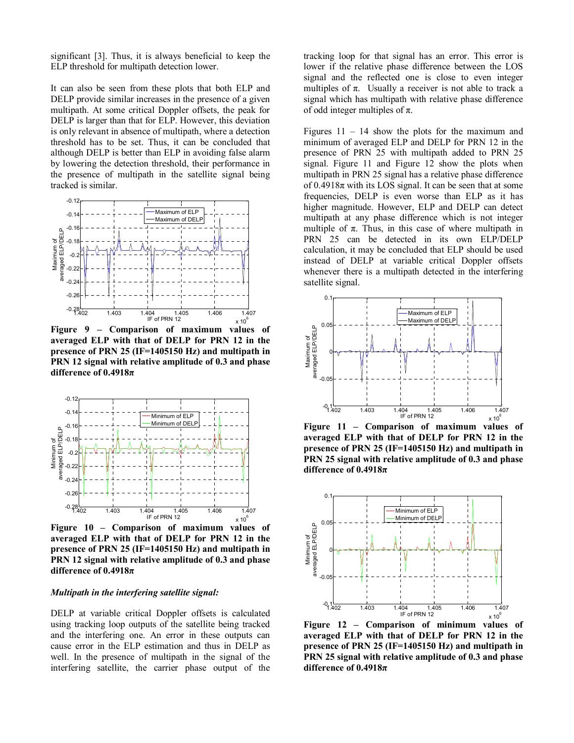significant [3]. Thus, it is always beneficial to keep the ELP threshold for multipath detection lower.

It can also be seen from these plots that both ELP and DELP provide similar increases in the presence of a given multipath. At some critical Doppler offsets, the peak for DELP is larger than that for ELP. However, this deviation is only relevant in absence of multipath, where a detection threshold has to be set. Thus, it can be concluded that although DELP is better than ELP in avoiding false alarm by lowering the detection threshold, their performance in the presence of multipath in the satellite signal being tracked is similar.



Figure 9 – Comparison of maximum values of averaged ELP with that of DELP for PRN 12 in the presence of PRN 25 (IF=1405150 Hz) and multipath in PRN 12 signal with relative amplitude of 0.3 and phase difference of 0.4918π



Figure 10 – Comparison of maximum values of averaged ELP with that of DELP for PRN 12 in the presence of PRN 25 (IF=1405150 Hz) and multipath in PRN 12 signal with relative amplitude of 0.3 and phase difference of  $0.4918\pi$ 

#### Multipath in the interfering satellite signal:

DELP at variable critical Doppler offsets is calculated using tracking loop outputs of the satellite being tracked and the interfering one. An error in these outputs can cause error in the ELP estimation and thus in DELP as well. In the presence of multipath in the signal of the interfering satellite, the carrier phase output of the tracking loop for that signal has an error. This error is lower if the relative phase difference between the LOS signal and the reflected one is close to even integer multiples of  $\pi$ . Usually a receiver is not able to track a signal which has multipath with relative phase difference of odd integer multiples of  $\pi$ .

Figures  $11 - 14$  show the plots for the maximum and minimum of averaged ELP and DELP for PRN 12 in the presence of PRN 25 with multipath added to PRN 25 signal. Figure 11 and Figure 12 show the plots when multipath in PRN 25 signal has a relative phase difference of  $0.4918\pi$  with its LOS signal. It can be seen that at some frequencies, DELP is even worse than ELP as it has higher magnitude. However, ELP and DELP can detect multipath at any phase difference which is not integer multiple of  $\pi$ . Thus, in this case of where multipath in PRN 25 can be detected in its own ELP/DELP calculation, it may be concluded that ELP should be used instead of DELP at variable critical Doppler offsets whenever there is a multipath detected in the interfering satellite signal.



Figure 11 – Comparison of maximum values of averaged ELP with that of DELP for PRN 12 in the presence of PRN 25 (IF=1405150 Hz) and multipath in PRN 25 signal with relative amplitude of 0.3 and phase difference of  $0.4918\pi$ 



Figure 12 – Comparison of minimum values of averaged ELP with that of DELP for PRN 12 in the presence of PRN 25 (IF=1405150 Hz) and multipath in PRN 25 signal with relative amplitude of 0.3 and phase difference of  $0.4918\pi$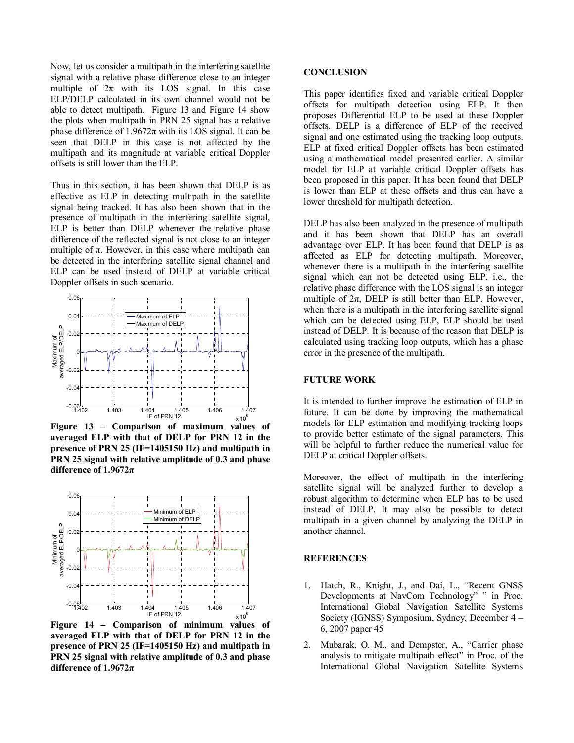Now, let us consider a multipath in the interfering satellite signal with a relative phase difference close to an integer multiple of  $2\pi$  with its LOS signal. In this case ELP/DELP calculated in its own channel would not be able to detect multipath. Figure 13 and Figure 14 show the plots when multipath in PRN 25 signal has a relative phase difference of  $1.9672\pi$  with its LOS signal. It can be seen that DELP in this case is not affected by the multipath and its magnitude at variable critical Doppler offsets is still lower than the ELP.

Thus in this section, it has been shown that DELP is as effective as ELP in detecting multipath in the satellite signal being tracked. It has also been shown that in the presence of multipath in the interfering satellite signal, ELP is better than DELP whenever the relative phase difference of the reflected signal is not close to an integer multiple of  $\pi$ . However, in this case where multipath can be detected in the interfering satellite signal channel and ELP can be used instead of DELP at variable critical Doppler offsets in such scenario.



Figure 13 – Comparison of maximum values of averaged ELP with that of DELP for PRN 12 in the presence of PRN 25 (IF=1405150 Hz) and multipath in PRN 25 signal with relative amplitude of 0.3 and phase difference of 1.9672π



Figure 14 – Comparison of minimum values of averaged ELP with that of DELP for PRN 12 in the presence of PRN 25 (IF=1405150 Hz) and multipath in PRN 25 signal with relative amplitude of 0.3 and phase difference of  $1.9672\pi$ 

#### **CONCLUSION**

This paper identifies fixed and variable critical Doppler offsets for multipath detection using ELP. It then proposes Differential ELP to be used at these Doppler offsets. DELP is a difference of ELP of the received signal and one estimated using the tracking loop outputs. ELP at fixed critical Doppler offsets has been estimated using a mathematical model presented earlier. A similar model for ELP at variable critical Doppler offsets has been proposed in this paper. It has been found that DELP is lower than ELP at these offsets and thus can have a lower threshold for multipath detection.

DELP has also been analyzed in the presence of multipath and it has been shown that DELP has an overall advantage over ELP. It has been found that DELP is as affected as ELP for detecting multipath. Moreover, whenever there is a multipath in the interfering satellite signal which can not be detected using ELP, i.e., the relative phase difference with the LOS signal is an integer multiple of  $2\pi$ , DELP is still better than ELP. However, when there is a multipath in the interfering satellite signal which can be detected using ELP, ELP should be used instead of DELP. It is because of the reason that DELP is calculated using tracking loop outputs, which has a phase error in the presence of the multipath.

# FUTURE WORK

It is intended to further improve the estimation of ELP in future. It can be done by improving the mathematical models for ELP estimation and modifying tracking loops to provide better estimate of the signal parameters. This will be helpful to further reduce the numerical value for DELP at critical Doppler offsets.

Moreover, the effect of multipath in the interfering satellite signal will be analyzed further to develop a robust algorithm to determine when ELP has to be used instead of DELP. It may also be possible to detect multipath in a given channel by analyzing the DELP in another channel.

# **REFERENCES**

- 1. Hatch, R., Knight, J., and Dai, L., "Recent GNSS Developments at NavCom Technology" " in Proc. International Global Navigation Satellite Systems Society (IGNSS) Symposium, Sydney, December 4 – 6, 2007 paper 45
- 2. Mubarak, O. M., and Dempster, A., "Carrier phase analysis to mitigate multipath effect" in Proc. of the International Global Navigation Satellite Systems